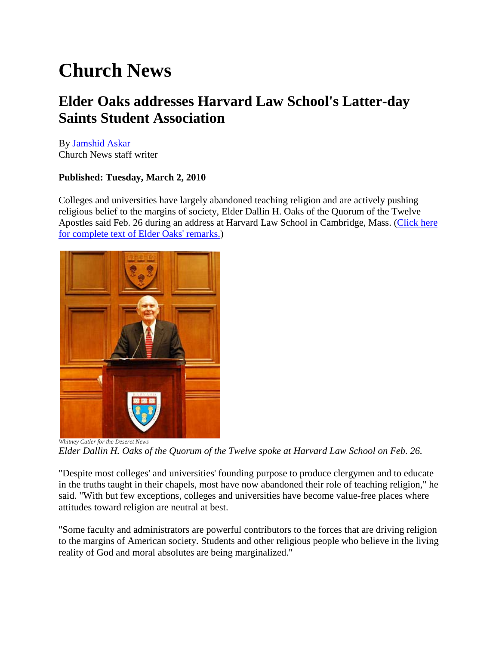# **Church News**

## **Elder Oaks addresses Harvard Law School's Latter-day Saints Student Association**

By [Jamshid Askar](http://www.ldschurchnews.com/authors/19109/Jamshid-Askar.html) Church News staff writer

### **Published: Tuesday, March 2, 2010**

Colleges and universities have largely abandoned teaching religion and are actively pushing religious belief to the margins of society, Elder Dallin H. Oaks of the Quorum of the Twelve Apostles said Feb. 26 during an address at Harvard Law School in Cambridge, Mass. [\(Click here](http://newsroom.lds.org/ldsnewsroom/eng/news-releases-stories/fundamental-premises-of-our-faith-talk-given-by-elder-dallin-h-oaks-at-harvard-law-school)  [for complete text of Elder Oaks' remarks.\)](http://newsroom.lds.org/ldsnewsroom/eng/news-releases-stories/fundamental-premises-of-our-faith-talk-given-by-elder-dallin-h-oaks-at-harvard-law-school)



*Elder Dallin H. Oaks of the Quorum of the Twelve spoke at Harvard Law School on Feb. 26.*

"Despite most colleges' and universities' founding purpose to produce clergymen and to educate in the truths taught in their chapels, most have now abandoned their role of teaching religion," he said. "With but few exceptions, colleges and universities have become value-free places where attitudes toward religion are neutral at best.

"Some faculty and administrators are powerful contributors to the forces that are driving religion to the margins of American society. Students and other religious people who believe in the living reality of God and moral absolutes are being marginalized."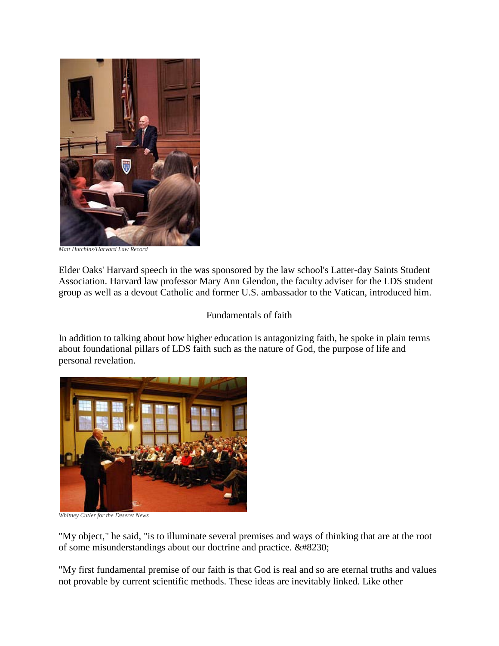

*Matt Hutchins/Harvard Law Record*

Elder Oaks' Harvard speech in the was sponsored by the law school's Latter-day Saints Student Association. Harvard law professor Mary Ann Glendon, the faculty adviser for the LDS student group as well as a devout Catholic and former U.S. ambassador to the Vatican, introduced him.

Fundamentals of faith

In addition to talking about how higher education is antagonizing faith, he spoke in plain terms about foundational pillars of LDS faith such as the nature of God, the purpose of life and personal revelation.



*Whitney Cutler for the Deseret News*

"My object," he said, "is to illuminate several premises and ways of thinking that are at the root of some misunderstandings about our doctrine and practice.  $&\#8230;$ 

"My first fundamental premise of our faith is that God is real and so are eternal truths and values not provable by current scientific methods. These ideas are inevitably linked. Like other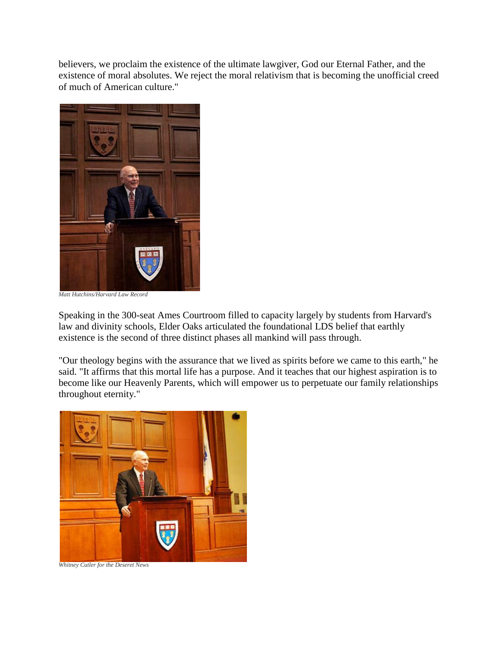believers, we proclaim the existence of the ultimate lawgiver, God our Eternal Father, and the existence of moral absolutes. We reject the moral relativism that is becoming the unofficial creed of much of American culture."



*Matt Hutchins/Harvard Law Record*

Speaking in the 300-seat Ames Courtroom filled to capacity largely by students from Harvard's law and divinity schools, Elder Oaks articulated the foundational LDS belief that earthly existence is the second of three distinct phases all mankind will pass through.

"Our theology begins with the assurance that we lived as spirits before we came to this earth," he said. "It affirms that this mortal life has a purpose. And it teaches that our highest aspiration is to become like our Heavenly Parents, which will empower us to perpetuate our family relationships throughout eternity."



*Whitney Cutler for the Deseret News*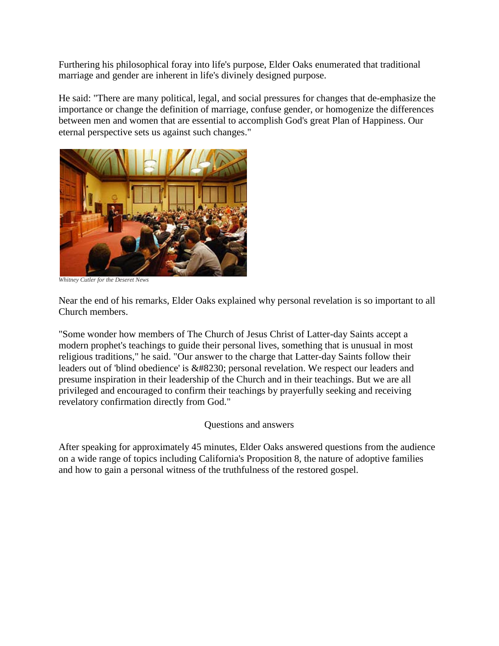Furthering his philosophical foray into life's purpose, Elder Oaks enumerated that traditional marriage and gender are inherent in life's divinely designed purpose.

He said: "There are many political, legal, and social pressures for changes that de-emphasize the importance or change the definition of marriage, confuse gender, or homogenize the differences between men and women that are essential to accomplish God's great Plan of Happiness. Our eternal perspective sets us against such changes."



*Whitney Cutler for the Deseret News*

Near the end of his remarks, Elder Oaks explained why personal revelation is so important to all Church members.

"Some wonder how members of The Church of Jesus Christ of Latter-day Saints accept a modern prophet's teachings to guide their personal lives, something that is unusual in most religious traditions," he said. "Our answer to the charge that Latter-day Saints follow their leaders out of 'blind obedience' is … personal revelation. We respect our leaders and presume inspiration in their leadership of the Church and in their teachings. But we are all privileged and encouraged to confirm their teachings by prayerfully seeking and receiving revelatory confirmation directly from God."

#### Questions and answers

After speaking for approximately 45 minutes, Elder Oaks answered questions from the audience on a wide range of topics including California's Proposition 8, the nature of adoptive families and how to gain a personal witness of the truthfulness of the restored gospel.